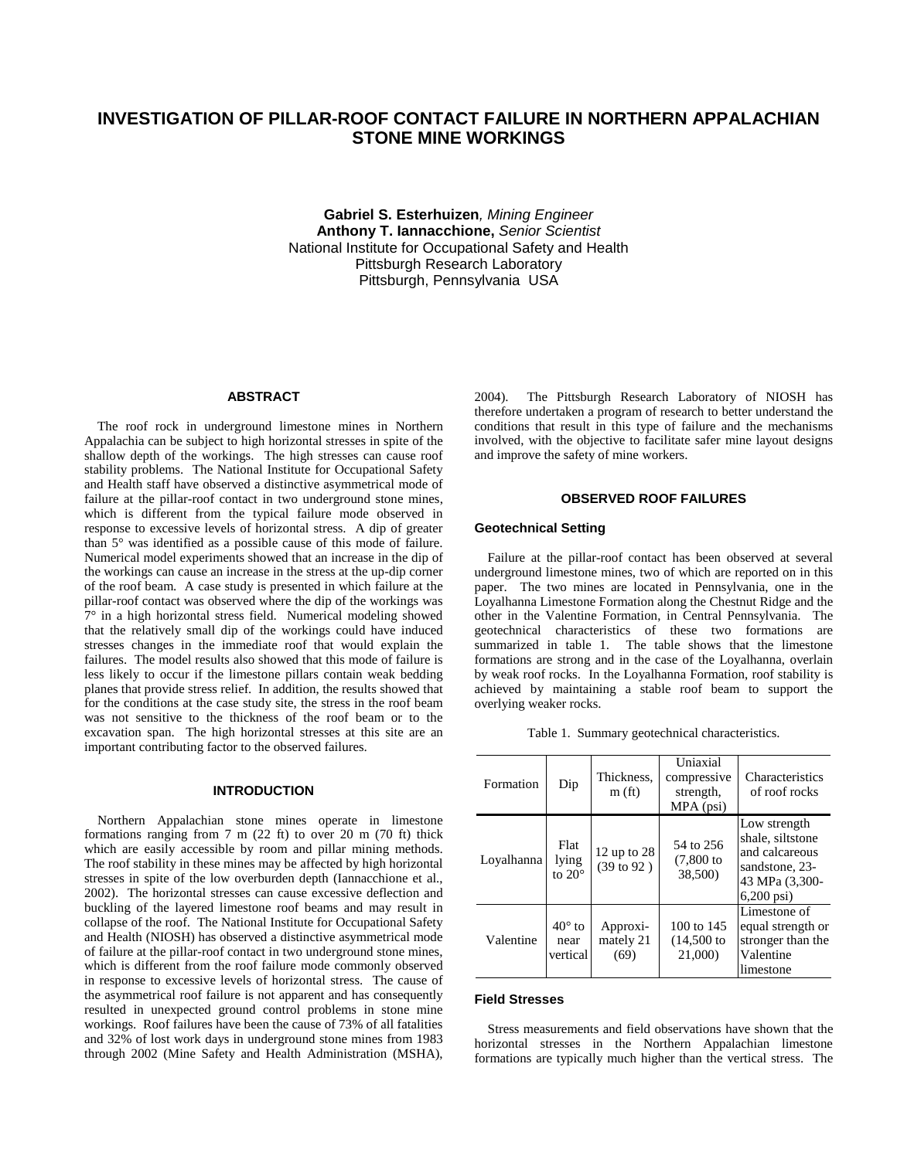# **INVESTIGATION OF PILLAR-ROOF CONTACT FAILURE IN NORTHERN APPALACHIAN STONE MINE WORKINGS**

**Gabriel S. Esterhuizen***, Mining Engineer*  **Anthony T. Iannacchione,** *Senior Scientist*  National Institute for Occupational Safety and Health Pittsburgh Research Laboratory Pittsburgh, Pennsylvania USA

# **ABSTRACT**

 The roof rock in underground limestone mines in Northern Appalachia can be subject to high horizontal stresses in spite of the shallow depth of the workings. The high stresses can cause roof stability problems. The National Institute for Occupational Safety and Health staff have observed a distinctive asymmetrical mode of failure at the pillar-roof contact in two underground stone mines, which is different from the typical failure mode observed in response to excessive levels of horizontal stress. A dip of greater than 5° was identified as a possible cause of this mode of failure. Numerical model experiments showed that an increase in the dip of the workings can cause an increase in the stress at the up-dip corner of the roof beam. A case study is presented in which failure at the pillar-roof contact was observed where the dip of the workings was  $7^\circ$  in a high horizontal stress field. Numerical modeling showed that the relatively small dip of the workings could have induced stresses changes in the immediate roof that would explain the failures. The model results also showed that this mode of failure is less likely to occur if the limestone pillars contain weak bedding planes that provide stress relief. In addition, the results showed that for the conditions at the case study site, the stress in the roof beam was not sensitive to the thickness of the roof beam or to the excavation span. The high horizontal stresses at this site are an important contributing factor to the observed failures.

# **INTRODUCTION**

 Northern Appalachian stone mines operate in limestone formations ranging from  $7 \text{ m}$  (22 ft) to over 20 m (70 ft) thick which are easily accessible by room and pillar mining methods. The roof stability in these mines may be affected by high horizontal stresses in spite of the low overburden depth (Iannacchione et al., 2002). The horizontal stresses can cause excessive deflection and buckling of the layered limestone roof beams and may result in collapse of the roof. The National Institute for Occupational Safety and Health (NIOSH) has observed a distinctive asymmetrical mode of failure at the pillar-roof contact in two underground stone mines, which is different from the roof failure mode commonly observed in response to excessive levels of horizontal stress. The cause of the asymmetrical roof failure is not apparent and has consequently resulted in unexpected ground control problems in stone mine workings. Roof failures have been the cause of 73% of all fatalities and 32% of lost work days in underground stone mines from 1983 through 2002 (Mine Safety and Health Administration (MSHA), 2004). The Pittsburgh Research Laboratory of NIOSH has therefore undertaken a program of research to better understand the conditions that result in this type of failure and the mechanisms involved, with the objective to facilitate safer mine layout designs and improve the safety of mine workers.

# **OBSERVED ROOF FAILURES**

#### **Geotechnical Setting**

 Failure at the pillar-roof contact has been observed at several underground limestone mines, two of which are reported on in this paper. The two mines are located in Pennsylvania, one in the Loyalhanna Limestone Formation along the Chestnut Ridge and the other in the Valentine Formation, in Central Pennsylvania. The geotechnical characteristics of these two formations are summarized in table 1. The table shows that the limestone formations are strong and in the case of the Loyalhanna, overlain by weak roof rocks. In the Loyalhanna Formation, roof stability is achieved by maintaining a stable roof beam to support the overlying weaker rocks.

|  |  |  | Table 1. Summary geotechnical characteristics. |
|--|--|--|------------------------------------------------|
|--|--|--|------------------------------------------------|

| Formation  | Dip                               | Thickness.<br>m(f <sub>t</sub> )       | Uniaxial<br>compressive<br>strength,<br>$MPA$ (psi) | <b>Characteristics</b><br>of roof rocks                                                                        |
|------------|-----------------------------------|----------------------------------------|-----------------------------------------------------|----------------------------------------------------------------------------------------------------------------|
| Lovalhanna | Flat<br>lying<br>to $20^\circ$    | 12 up to $28$<br>$(39 \text{ to } 92)$ | 54 to 256<br>$(7,800)$ to<br>38,500)                | Low strength<br>shale, siltstone<br>and calcareous<br>sandstone, 23-<br>43 MPa (3,300-<br>$6,200 \,\text{psi}$ |
| Valentine  | $40^\circ$ to<br>near<br>vertical | Approxi-<br>mately 21<br>(69)          | 100 to $145$<br>$(14,500)$ to<br>21,000)            | Limestone of<br>equal strength or<br>stronger than the<br>Valentine<br>limestone                               |

#### **Field Stresses**

 Stress measurements and field observations have shown that the horizontal stresses in the Northern Appalachian limestone formations are typically much higher than the vertical stress. The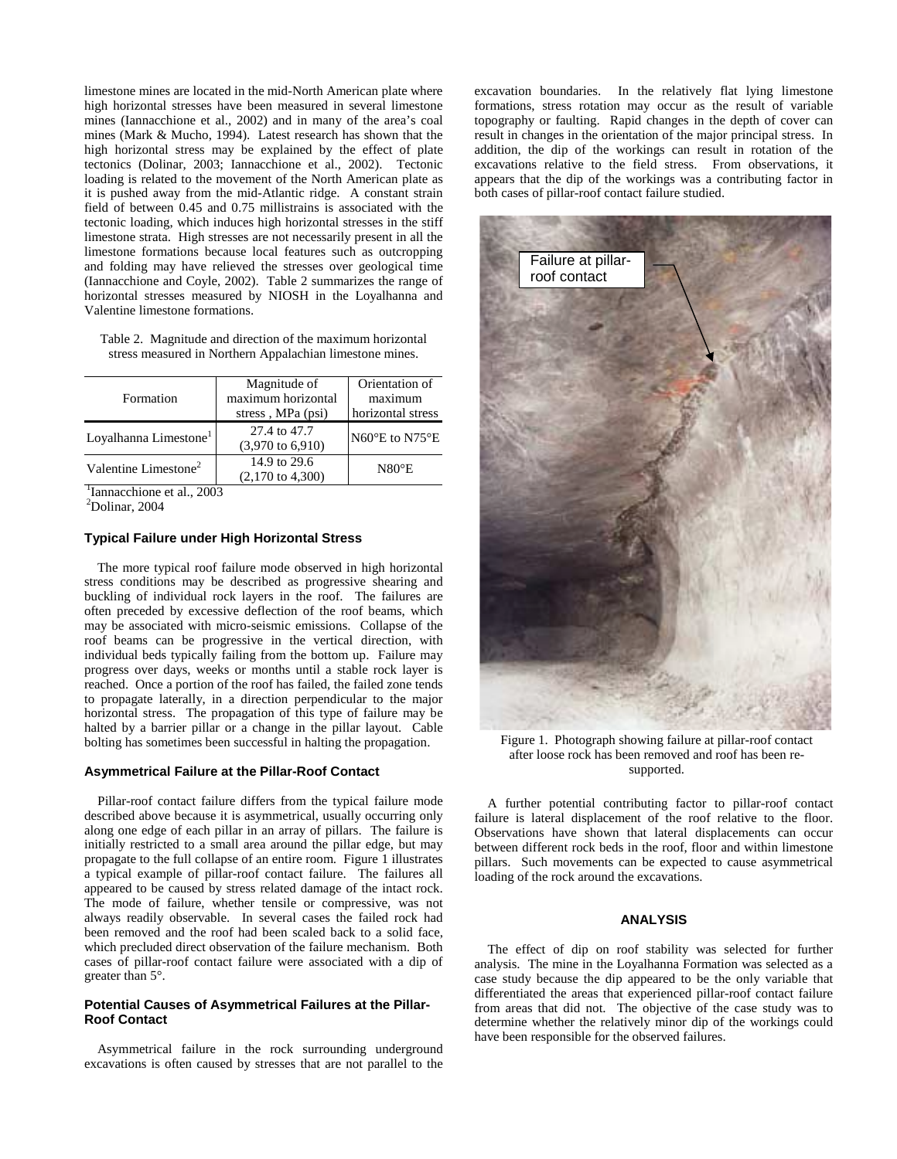limestone mines are located in the mid-North American plate where high horizontal stresses have been measured in several limestone mines (Iannacchione et al., 2002) and in many of the area's coal mines (Mark & Mucho, 1994). Latest research has shown that the high horizontal stress may be explained by the effect of plate tectonics (Dolinar, 2003; Iannacchione et al., 2002). Tectonic loading is related to the movement of the North American plate as it is pushed away from the mid-Atlantic ridge. A constant strain field of between 0.45 and 0.75 millistrains is associated with the tectonic loading, which induces high horizontal stresses in the stiff limestone strata. High stresses are not necessarily present in all the limestone formations because local features such as outcropping and folding may have relieved the stresses over geological time (Iannacchione and Coyle, 2002). Table 2 summarizes the range of horizontal stresses measured by NIOSH in the Loyalhanna and Valentine limestone formations.

Table 2. Magnitude and direction of the maximum horizontal stress measured in Northern Appalachian limestone mines.

|                                   | Magnitude of                | Orientation of                      |
|-----------------------------------|-----------------------------|-------------------------------------|
| Formation                         | maximum horizontal          | maximum                             |
|                                   | stress, MPa (psi)           | horizontal stress                   |
| Loyalhanna Limestone <sup>1</sup> | 27.4 to 47.7                | $N60^{\circ}$ E to N75 $^{\circ}$ E |
|                                   | $(3,970 \text{ to } 6,910)$ |                                     |
| Valentine Limestone <sup>2</sup>  | 14.9 to 29.6                | $N80^{\circ}E$                      |
|                                   | $(2,170 \text{ to } 4,300)$ |                                     |
| $\cdots$                          |                             |                                     |

<sup>1</sup>Iannacchione et al., 2003

2 Dolinar, 2004

# **Typical Failure under High Horizontal Stress**

 The more typical roof failure mode observed in high horizontal stress conditions may be described as progressive shearing and buckling of individual rock layers in the roof. The failures are often preceded by excessive deflection of the roof beams, which may be associated with micro-seismic emissions. Collapse of the roof beams can be progressive in the vertical direction, with individual beds typically failing from the bottom up. Failure may progress over days, weeks or months until a stable rock layer is reached. Once a portion of the roof has failed, the failed zone tends to propagate laterally, in a direction perpendicular to the major horizontal stress. The propagation of this type of failure may be halted by a barrier pillar or a change in the pillar layout. Cable bolting has sometimes been successful in halting the propagation.

## **Asymmetrical Failure at the Pillar-Roof Contact**

 Pillar-roof contact failure differs from the typical failure mode described above because it is asymmetrical, usually occurring only along one edge of each pillar in an array of pillars. The failure is initially restricted to a small area around the pillar edge, but may propagate to the full collapse of an entire room. Figure 1 illustrates a typical example of pillar-roof contact failure. The failures all appeared to be caused by stress related damage of the intact rock. The mode of failure, whether tensile or compressive, was not always readily observable. In several cases the failed rock had been removed and the roof had been scaled back to a solid face, which precluded direct observation of the failure mechanism. Both cases of pillar-roof contact failure were associated with a dip of greater than 5°.

### **Potential Causes of Asymmetrical Failures at the Pillar-Roof Contact**

 Asymmetrical failure in the rock surrounding underground excavations is often caused by stresses that are not parallel to the excavation boundaries. In the relatively flat lying limestone formations, stress rotation may occur as the result of variable topography or faulting. Rapid changes in the depth of cover can result in changes in the orientation of the major principal stress. In addition, the dip of the workings can result in rotation of the excavations relative to the field stress. From observations, it appears that the dip of the workings was a contributing factor in both cases of pillar-roof contact failure studied.



Figure 1. Photograph showing failure at pillar-roof contact after loose rock has been removed and roof has been resupported.

 A further potential contributing factor to pillar-roof contact failure is lateral displacement of the roof relative to the floor. Observations have shown that lateral displacements can occur between different rock beds in the roof, floor and within limestone pillars. Such movements can be expected to cause asymmetrical loading of the rock around the excavations.

### **ANALYSIS**

 The effect of dip on roof stability was selected for further analysis. The mine in the Loyalhanna Formation was selected as a case study because the dip appeared to be the only variable that differentiated the areas that experienced pillar-roof contact failure from areas that did not. The objective of the case study was to determine whether the relatively minor dip of the workings could have been responsible for the observed failures.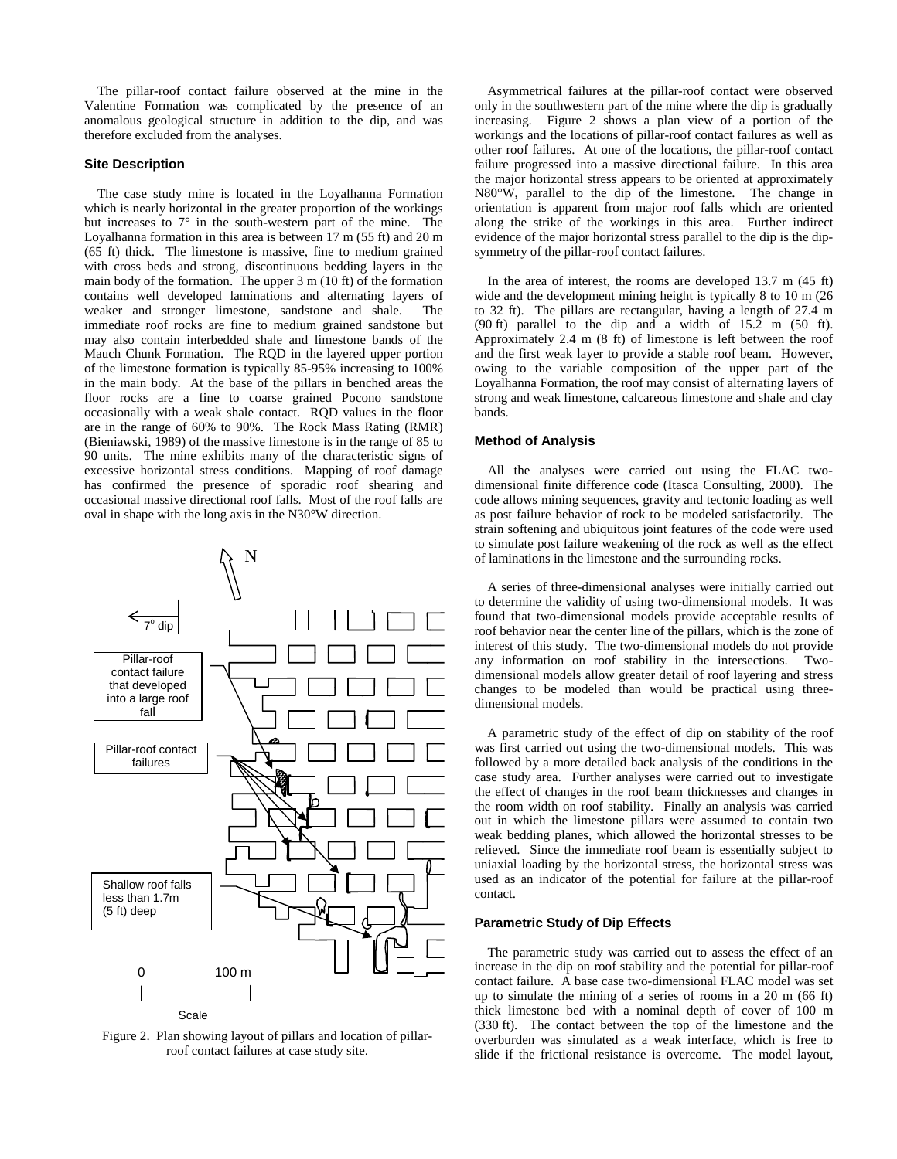The pillar-roof contact failure observed at the mine in the Valentine Formation was complicated by the presence of an anomalous geological structure in addition to the dip, and was therefore excluded from the analyses.

#### **Site Description**

 The case study mine is located in the Loyalhanna Formation which is nearly horizontal in the greater proportion of the workings but increases to 7° in the south-western part of the mine. The Loyalhanna formation in this area is between 17 m (55 ft) and 20 m (65 ft) thick. The limestone is massive, fine to medium grained with cross beds and strong, discontinuous bedding layers in the main body of the formation. The upper 3 m (10 ft) of the formation contains well developed laminations and alternating layers of weaker and stronger limestone, sandstone and shale. The immediate roof rocks are fine to medium grained sandstone but may also contain interbedded shale and limestone bands of the Mauch Chunk Formation. The RQD in the layered upper portion of the limestone formation is typically 85-95% increasing to 100% in the main body. At the base of the pillars in benched areas the floor rocks are a fine to coarse grained Pocono sandstone occasionally with a weak shale contact. RQD values in the floor are in the range of 60% to 90%. The Rock Mass Rating (RMR) (Bieniawski, 1989) of the massive limestone is in the range of 85 to 90 units. The mine exhibits many of the characteristic signs of excessive horizontal stress conditions. Mapping of roof damage has confirmed the presence of sporadic roof shearing and occasional massive directional roof falls. Most of the roof falls are oval in shape with the long axis in the N30°W direction.



Figure 2. Plan showing layout of pillars and location of pillarroof contact failures at case study site.

 Asymmetrical failures at the pillar-roof contact were observed only in the southwestern part of the mine where the dip is gradually increasing. Figure 2 shows a plan view of a portion of the workings and the locations of pillar-roof contact failures as well as other roof failures. At one of the locations, the pillar-roof contact failure progressed into a massive directional failure. In this area the major horizontal stress appears to be oriented at approximately N80°W, parallel to the dip of the limestone. The change in orientation is apparent from major roof falls which are oriented along the strike of the workings in this area. Further indirect evidence of the major horizontal stress parallel to the dip is the dipsymmetry of the pillar-roof contact failures.

 In the area of interest, the rooms are developed 13.7 m (45 ft) wide and the development mining height is typically 8 to 10 m (26 to 32 ft). The pillars are rectangular, having a length of 27.4 m (90 ft) parallel to the dip and a width of 15.2 m (50 ft). Approximately 2.4 m (8 ft) of limestone is left between the roof and the first weak layer to provide a stable roof beam. However, owing to the variable composition of the upper part of the Loyalhanna Formation, the roof may consist of alternating layers of strong and weak limestone, calcareous limestone and shale and clay bands.

# **Method of Analysis**

 All the analyses were carried out using the FLAC twodimensional finite difference code (Itasca Consulting, 2000). The code allows mining sequences, gravity and tectonic loading as well as post failure behavior of rock to be modeled satisfactorily. The strain softening and ubiquitous joint features of the code were used to simulate post failure weakening of the rock as well as the effect of laminations in the limestone and the surrounding rocks.

 A series of three-dimensional analyses were initially carried out to determine the validity of using two-dimensional models. It was found that two-dimensional models provide acceptable results of roof behavior near the center line of the pillars, which is the zone of interest of this study. The two-dimensional models do not provide any information on roof stability in the intersections. Twodimensional models allow greater detail of roof layering and stress changes to be modeled than would be practical using threedimensional models.

 A parametric study of the effect of dip on stability of the roof was first carried out using the two-dimensional models. This was followed by a more detailed back analysis of the conditions in the case study area. Further analyses were carried out to investigate the effect of changes in the roof beam thicknesses and changes in the room width on roof stability. Finally an analysis was carried out in which the limestone pillars were assumed to contain two weak bedding planes, which allowed the horizontal stresses to be relieved. Since the immediate roof beam is essentially subject to uniaxial loading by the horizontal stress, the horizontal stress was used as an indicator of the potential for failure at the pillar-roof contact.

#### **Parametric Study of Dip Effects**

 The parametric study was carried out to assess the effect of an increase in the dip on roof stability and the potential for pillar-roof contact failure. A base case two-dimensional FLAC model was set up to simulate the mining of a series of rooms in a 20 m (66 ft) thick limestone bed with a nominal depth of cover of 100 m (330 ft). The contact between the top of the limestone and the overburden was simulated as a weak interface, which is free to slide if the frictional resistance is overcome. The model layout,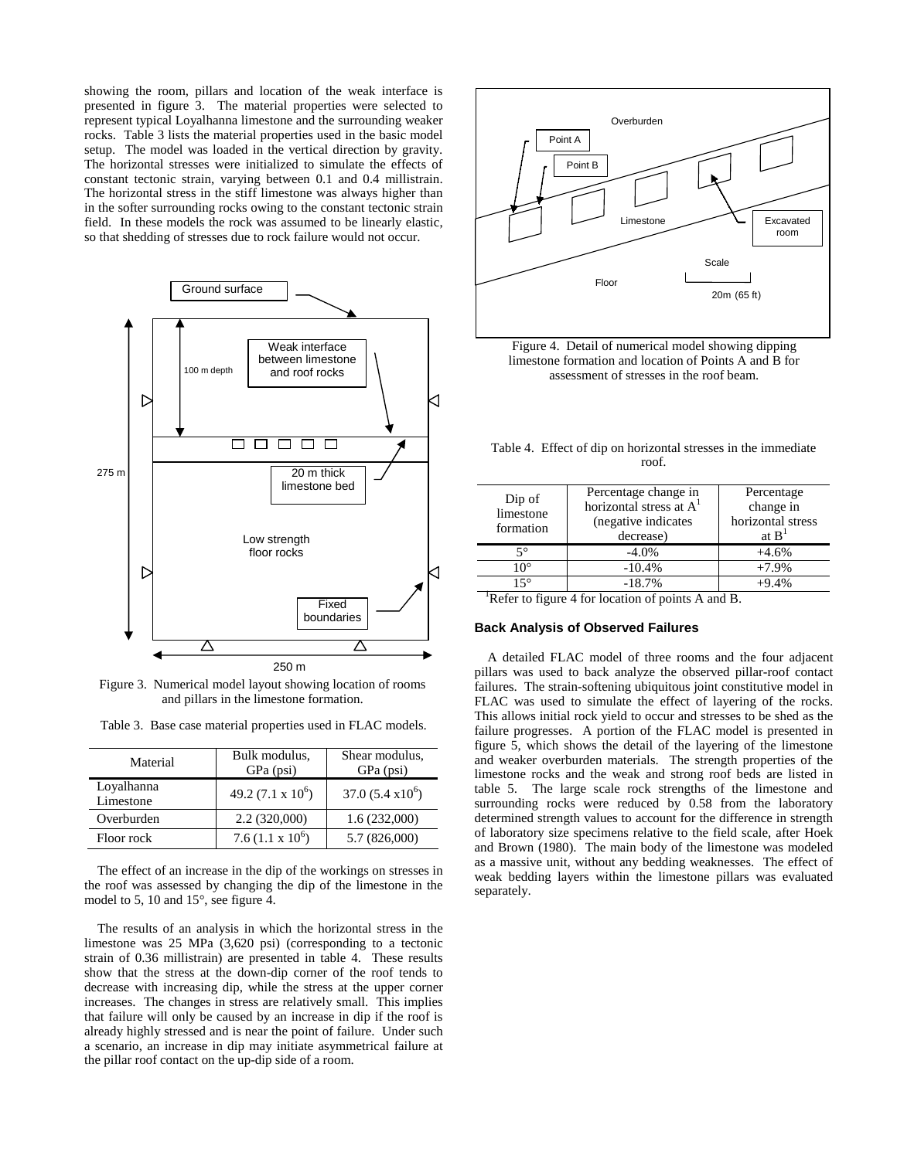showing the room, pillars and location of the weak interface is presented in figure 3. The material properties were selected to represent typical Loyalhanna limestone and the surrounding weaker rocks. Table 3 lists the material properties used in the basic model setup. The model was loaded in the vertical direction by gravity. The horizontal stresses were initialized to simulate the effects of constant tectonic strain, varying between 0.1 and 0.4 millistrain. The horizontal stress in the stiff limestone was always higher than in the softer surrounding rocks owing to the constant tectonic strain field. In these models the rock was assumed to be linearly elastic, so that shedding of stresses due to rock failure would not occur.



Figure 3. Numerical model layout showing location of rooms and pillars in the limestone formation.

| Material                | Bulk modulus,<br>GPa (psi) | Shear modulus,<br>GPa (psi) |
|-------------------------|----------------------------|-----------------------------|
| Loyalhanna<br>Limestone | 49.2 $(7.1 \times 10^6)$   | $37.0 (5.4 x 10^6)$         |
| Overburden              | 2.2(320,000)               | 1.6(232,000)                |
| Floor rock              | 7.6 $(1.1 \times 10^6)$    | 5.7 (826,000)               |

 The effect of an increase in the dip of the workings on stresses in the roof was assessed by changing the dip of the limestone in the model to 5, 10 and 15°, see figure 4.

 The results of an analysis in which the horizontal stress in the limestone was 25 MPa (3,620 psi) (corresponding to a tectonic strain of 0.36 millistrain) are presented in table 4. These results show that the stress at the down-dip corner of the roof tends to decrease with increasing dip, while the stress at the upper corner increases. The changes in stress are relatively small. This implies that failure will only be caused by an increase in dip if the roof is already highly stressed and is near the point of failure. Under such a scenario, an increase in dip may initiate asymmetrical failure at the pillar roof contact on the up-dip side of a room.



Figure 4. Detail of numerical model showing dipping limestone formation and location of Points A and B for assessment of stresses in the roof beam.

Table 4. Effect of dip on horizontal stresses in the immediate roof.

| Dip of<br>limestone<br>formation                               | Percentage change in<br>horizontal stress at $A1$<br>(negative indicates)<br>decrease) | Percentage<br>change in<br>horizontal stress<br>at $B1$ |  |
|----------------------------------------------------------------|----------------------------------------------------------------------------------------|---------------------------------------------------------|--|
| 50                                                             | $-4.0\%$                                                                               | $+4.6%$                                                 |  |
| $10^{\circ}$                                                   | $-10.4%$                                                                               | $+7.9%$                                                 |  |
| $15^{\circ}$                                                   | $-18.7%$                                                                               | $+9.4%$                                                 |  |
| <sup>1</sup> Refer to figure 4 for location of points A and B. |                                                                                        |                                                         |  |

# **Back Analysis of Observed Failures**

 A detailed FLAC model of three rooms and the four adjacent pillars was used to back analyze the observed pillar-roof contact failures. The strain-softening ubiquitous joint constitutive model in FLAC was used to simulate the effect of layering of the rocks. This allows initial rock yield to occur and stresses to be shed as the failure progresses. A portion of the FLAC model is presented in figure 5, which shows the detail of the layering of the limestone and weaker overburden materials. The strength properties of the limestone rocks and the weak and strong roof beds are listed in table 5. The large scale rock strengths of the limestone and surrounding rocks were reduced by 0.58 from the laboratory determined strength values to account for the difference in strength of laboratory size specimens relative to the field scale, after Hoek and Brown (1980). The main body of the limestone was modeled as a massive unit, without any bedding weaknesses. The effect of weak bedding layers within the limestone pillars was evaluated separately.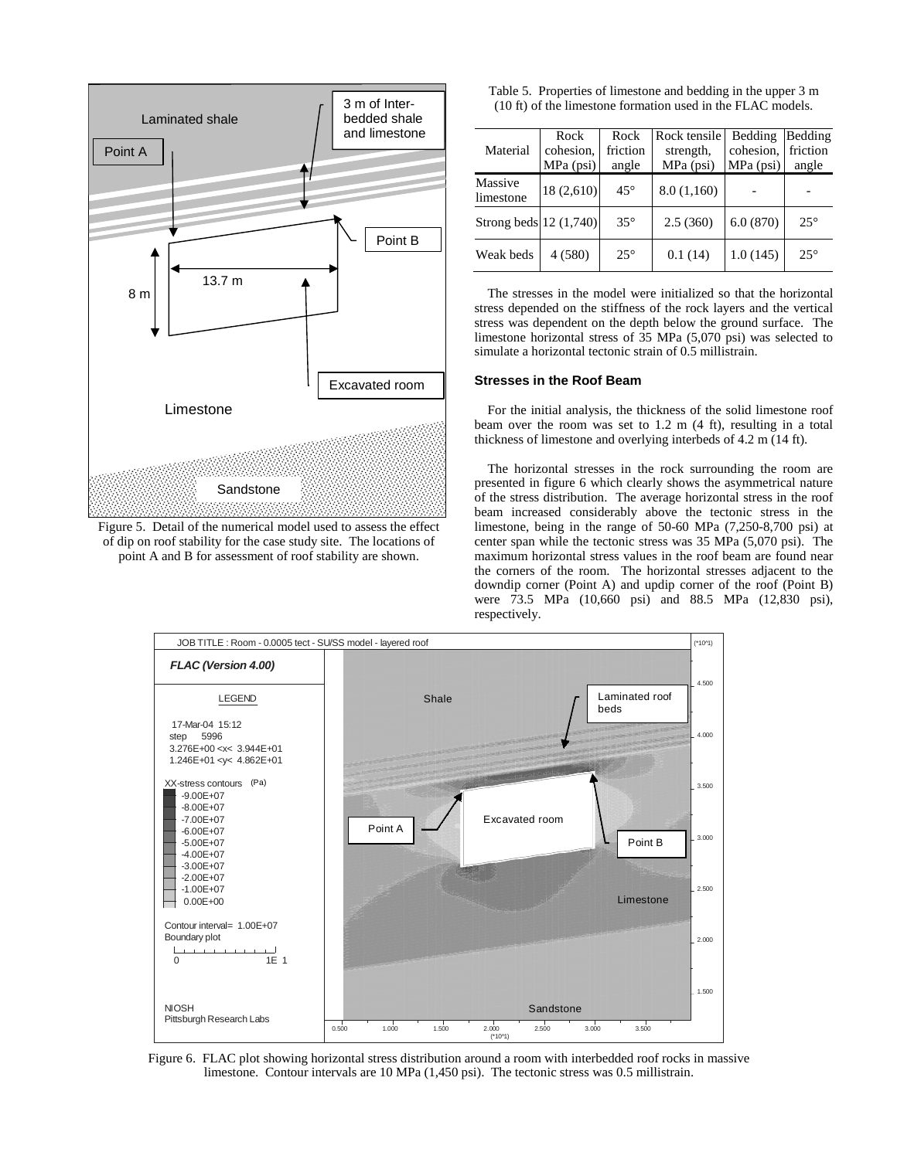

Figure 5. Detail of the numerical model used to assess the effect of dip on roof stability for the case study site. The locations of point A and B for assessment of roof stability are shown.

| Table 5. Properties of limestone and bedding in the upper 3 m |
|---------------------------------------------------------------|
| (10 ft) of the limestone formation used in the FLAC models.   |

| Material               | Rock<br>cohesion,<br>$MPa$ (psi) | Rock<br>friction<br>angle | Rock tensile<br>strength,<br>$MPa$ (psi) | Bedding<br>cohesion,<br>$MPa$ (psi) | Bedding<br>friction<br>angle |
|------------------------|----------------------------------|---------------------------|------------------------------------------|-------------------------------------|------------------------------|
| Massive<br>limestone   | 18(2,610)                        | $45^{\circ}$              | 8.0(1,160)                               |                                     |                              |
| Strong beds 12 (1,740) |                                  | $35^\circ$                | 2.5(360)                                 | 6.0(870)                            | $25^\circ$                   |
| Weak beds              | 4(580)                           | $25^{\circ}$              | 0.1(14)                                  | 1.0(145)                            | $25^{\circ}$                 |

 The stresses in the model were initialized so that the horizontal stress depended on the stiffness of the rock layers and the vertical stress was dependent on the depth below the ground surface. The limestone horizontal stress of 35 MPa (5,070 psi) was selected to simulate a horizontal tectonic strain of 0.5 millistrain.

### **Stresses in the Roof Beam**

 For the initial analysis, the thickness of the solid limestone roof beam over the room was set to 1.2 m (4 ft), resulting in a total thickness of limestone and overlying interbeds of 4.2 m (14 ft).

 The horizontal stresses in the rock surrounding the room are presented in figure 6 which clearly shows the asymmetrical nature of the stress distribution. The average horizontal stress in the roof beam increased considerably above the tectonic stress in the limestone, being in the range of 50-60 MPa (7,250-8,700 psi) at center span while the tectonic stress was 35 MPa (5,070 psi). The maximum horizontal stress values in the roof beam are found near the corners of the room. The horizontal stresses adjacent to the downdip corner (Point A) and updip corner of the roof (Point B) were 73.5 MPa (10,660 psi) and 88.5 MPa (12,830 psi), respectively.



Figure 6. FLAC plot showing horizontal stress distribution around a room with interbedded roof rocks in massive limestone. Contour intervals are 10 MPa (1,450 psi). The tectonic stress was 0.5 millistrain.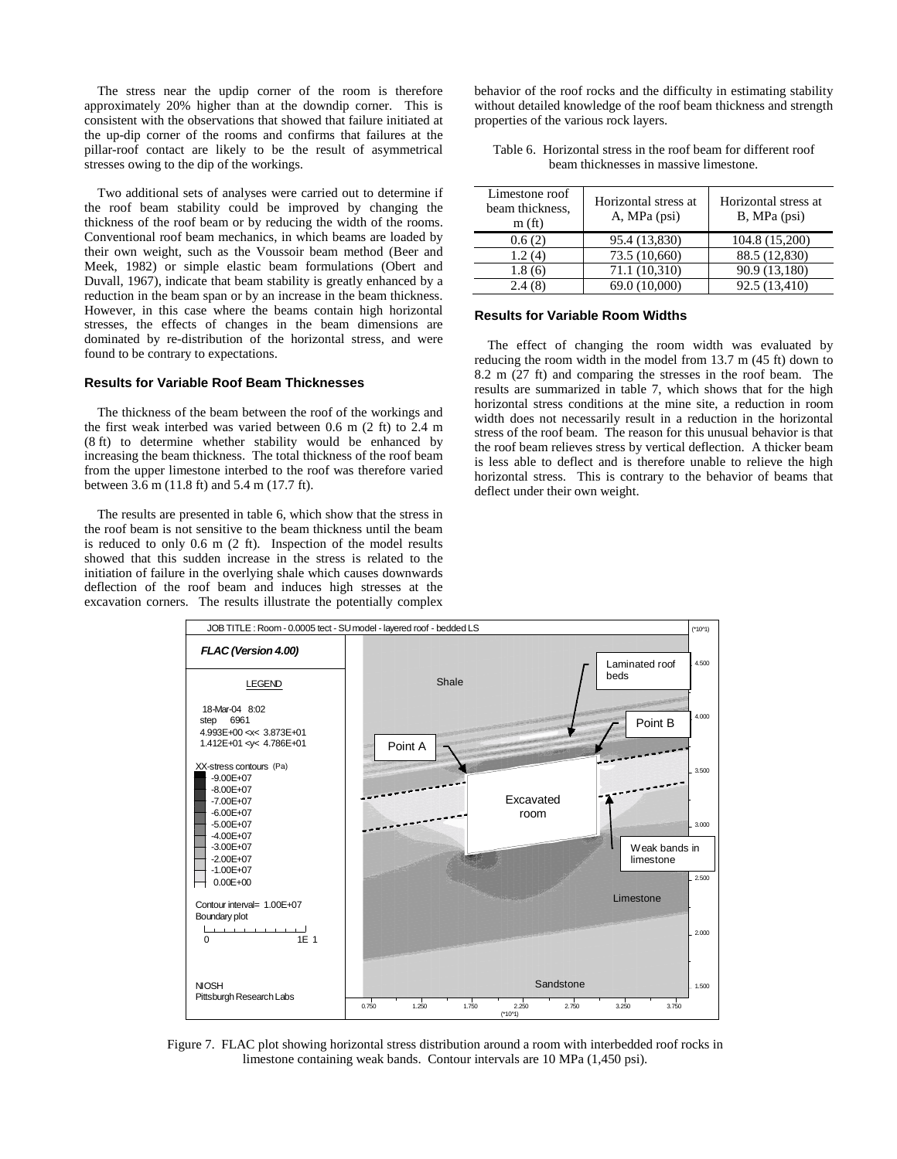The stress near the updip corner of the room is therefore approximately 20% higher than at the downdip corner. This is consistent with the observations that showed that failure initiated at the up-dip corner of the rooms and confirms that failures at the pillar-roof contact are likely to be the result of asymmetrical stresses owing to the dip of the workings.

 Two additional sets of analyses were carried out to determine if the roof beam stability could be improved by changing the thickness of the roof beam or by reducing the width of the rooms. Conventional roof beam mechanics, in which beams are loaded by their own weight, such as the Voussoir beam method (Beer and Meek, 1982) or simple elastic beam formulations (Obert and Duvall, 1967), indicate that beam stability is greatly enhanced by a reduction in the beam span or by an increase in the beam thickness. However, in this case where the beams contain high horizontal stresses, the effects of changes in the beam dimensions are dominated by re-distribution of the horizontal stress, and were found to be contrary to expectations.

### **Results for Variable Roof Beam Thicknesses**

 The thickness of the beam between the roof of the workings and the first weak interbed was varied between 0.6 m (2 ft) to 2.4 m (8 ft) to determine whether stability would be enhanced by increasing the beam thickness. The total thickness of the roof beam from the upper limestone interbed to the roof was therefore varied between 3.6 m (11.8 ft) and 5.4 m (17.7 ft).

 The results are presented in table 6, which show that the stress in the roof beam is not sensitive to the beam thickness until the beam is reduced to only 0.6 m (2 ft). Inspection of the model results showed that this sudden increase in the stress is related to the initiation of failure in the overlying shale which causes downwards deflection of the roof beam and induces high stresses at the excavation corners. The results illustrate the potentially complex behavior of the roof rocks and the difficulty in estimating stability without detailed knowledge of the roof beam thickness and strength properties of the various rock layers.

| Table 6. Horizontal stress in the roof beam for different roof |
|----------------------------------------------------------------|
| beam thicknesses in massive limestone.                         |

| Limestone roof<br>beam thickness,<br>m(f <sub>t</sub> ) | Horizontal stress at<br>A, MPa (psi) | Horizontal stress at<br>$B$ , MPa (psi) |
|---------------------------------------------------------|--------------------------------------|-----------------------------------------|
| 0.6(2)                                                  | 95.4 (13,830)                        | 104.8 (15,200)                          |
| 1.2(4)                                                  | 73.5 (10,660)                        | 88.5 (12,830)                           |
| 1.8(6)                                                  | 71.1 (10,310)                        | 90.9 (13,180)                           |
| 2.4(8)                                                  | 69.0 (10,000)                        | 92.5 (13,410)                           |

#### **Results for Variable Room Widths**

 The effect of changing the room width was evaluated by reducing the room width in the model from 13.7 m (45 ft) down to 8.2 m (27 ft) and comparing the stresses in the roof beam. The results are summarized in table 7, which shows that for the high horizontal stress conditions at the mine site, a reduction in room width does not necessarily result in a reduction in the horizontal stress of the roof beam. The reason for this unusual behavior is that the roof beam relieves stress by vertical deflection. A thicker beam is less able to deflect and is therefore unable to relieve the high horizontal stress. This is contrary to the behavior of beams that deflect under their own weight.



Figure 7. FLAC plot showing horizontal stress distribution around a room with interbedded roof rocks in limestone containing weak bands. Contour intervals are 10 MPa (1,450 psi).